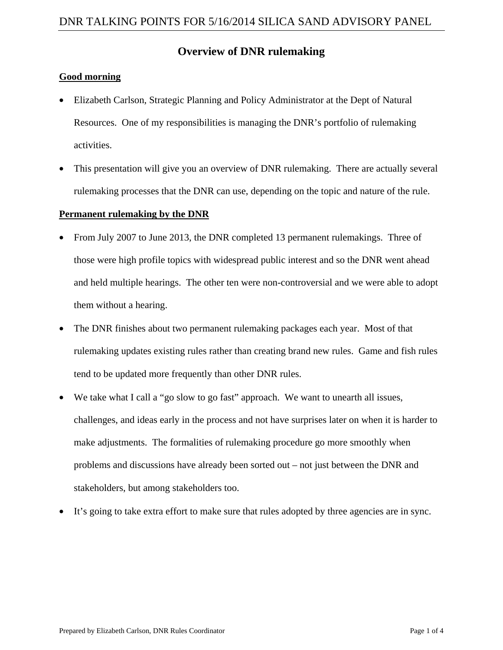# **Overview of DNR rulemaking**

## **Good morning**

- Elizabeth Carlson, Strategic Planning and Policy Administrator at the Dept of Natural Resources. One of my responsibilities is managing the DNR's portfolio of rulemaking activities.
- This presentation will give you an overview of DNR rulemaking. There are actually several rulemaking processes that the DNR can use, depending on the topic and nature of the rule.

## **Permanent rulemaking by the DNR**

- From July 2007 to June 2013, the DNR completed 13 permanent rulemakings. Three of those were high profile topics with widespread public interest and so the DNR went ahead and held multiple hearings. The other ten were non-controversial and we were able to adopt them without a hearing.
- The DNR finishes about two permanent rulemaking packages each year. Most of that rulemaking updates existing rules rather than creating brand new rules. Game and fish rules tend to be updated more frequently than other DNR rules.
- We take what I call a "go slow to go fast" approach. We want to unearth all issues, challenges, and ideas early in the process and not have surprises later on when it is harder to make adjustments. The formalities of rulemaking procedure go more smoothly when problems and discussions have already been sorted out – not just between the DNR and stakeholders, but among stakeholders too.
- It's going to take extra effort to make sure that rules adopted by three agencies are in sync.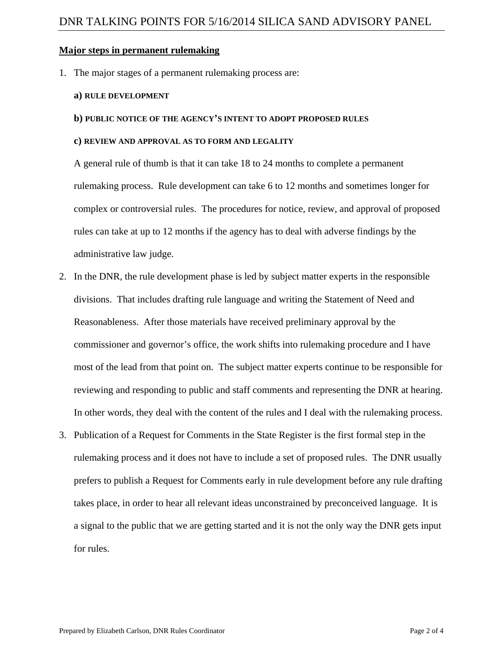### **Major steps in permanent rulemaking**

1. The major stages of a permanent rulemaking process are:

#### **a) RULE DEVELOPMENT**

#### **b) PUBLIC NOTICE OF THE AGENCY'S INTENT TO ADOPT PROPOSED RULES**

#### **c) REVIEW AND APPROVAL AS TO FORM AND LEGALITY**

A general rule of thumb is that it can take 18 to 24 months to complete a permanent rulemaking process. Rule development can take 6 to 12 months and sometimes longer for complex or controversial rules. The procedures for notice, review, and approval of proposed rules can take at up to 12 months if the agency has to deal with adverse findings by the administrative law judge.

- 2. In the DNR, the rule development phase is led by subject matter experts in the responsible divisions. That includes drafting rule language and writing the Statement of Need and Reasonableness. After those materials have received preliminary approval by the commissioner and governor's office, the work shifts into rulemaking procedure and I have most of the lead from that point on. The subject matter experts continue to be responsible for reviewing and responding to public and staff comments and representing the DNR at hearing. In other words, they deal with the content of the rules and I deal with the rulemaking process.
- 3. Publication of a Request for Comments in the State Register is the first formal step in the rulemaking process and it does not have to include a set of proposed rules. The DNR usually prefers to publish a Request for Comments early in rule development before any rule drafting takes place, in order to hear all relevant ideas unconstrained by preconceived language. It is a signal to the public that we are getting started and it is not the only way the DNR gets input for rules.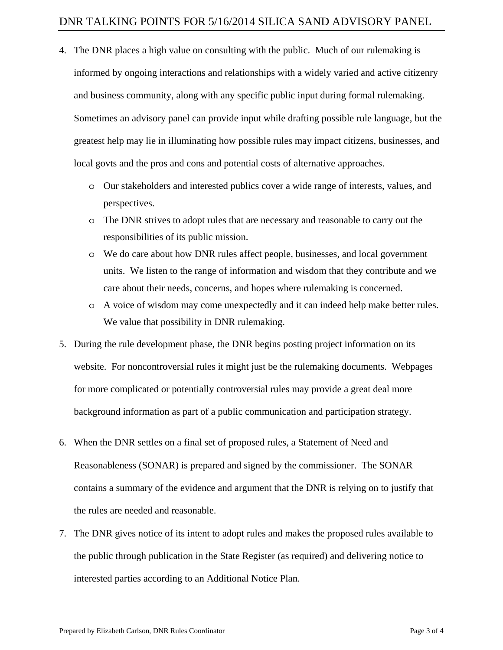- 4. The DNR places a high value on consulting with the public. Much of our rulemaking is informed by ongoing interactions and relationships with a widely varied and active citizenry and business community, along with any specific public input during formal rulemaking. Sometimes an advisory panel can provide input while drafting possible rule language, but the greatest help may lie in illuminating how possible rules may impact citizens, businesses, and local govts and the pros and cons and potential costs of alternative approaches.
	- o Our stakeholders and interested publics cover a wide range of interests, values, and perspectives.
	- o The DNR strives to adopt rules that are necessary and reasonable to carry out the responsibilities of its public mission.
	- o We do care about how DNR rules affect people, businesses, and local government units. We listen to the range of information and wisdom that they contribute and we care about their needs, concerns, and hopes where rulemaking is concerned.
	- o A voice of wisdom may come unexpectedly and it can indeed help make better rules. We value that possibility in DNR rulemaking.
- 5. During the rule development phase, the DNR begins posting project information on its website. For noncontroversial rules it might just be the rulemaking documents. Webpages for more complicated or potentially controversial rules may provide a great deal more background information as part of a public communication and participation strategy.
- 6. When the DNR settles on a final set of proposed rules, a Statement of Need and Reasonableness (SONAR) is prepared and signed by the commissioner. The SONAR contains a summary of the evidence and argument that the DNR is relying on to justify that the rules are needed and reasonable.
- 7. The DNR gives notice of its intent to adopt rules and makes the proposed rules available to the public through publication in the State Register (as required) and delivering notice to interested parties according to an Additional Notice Plan.